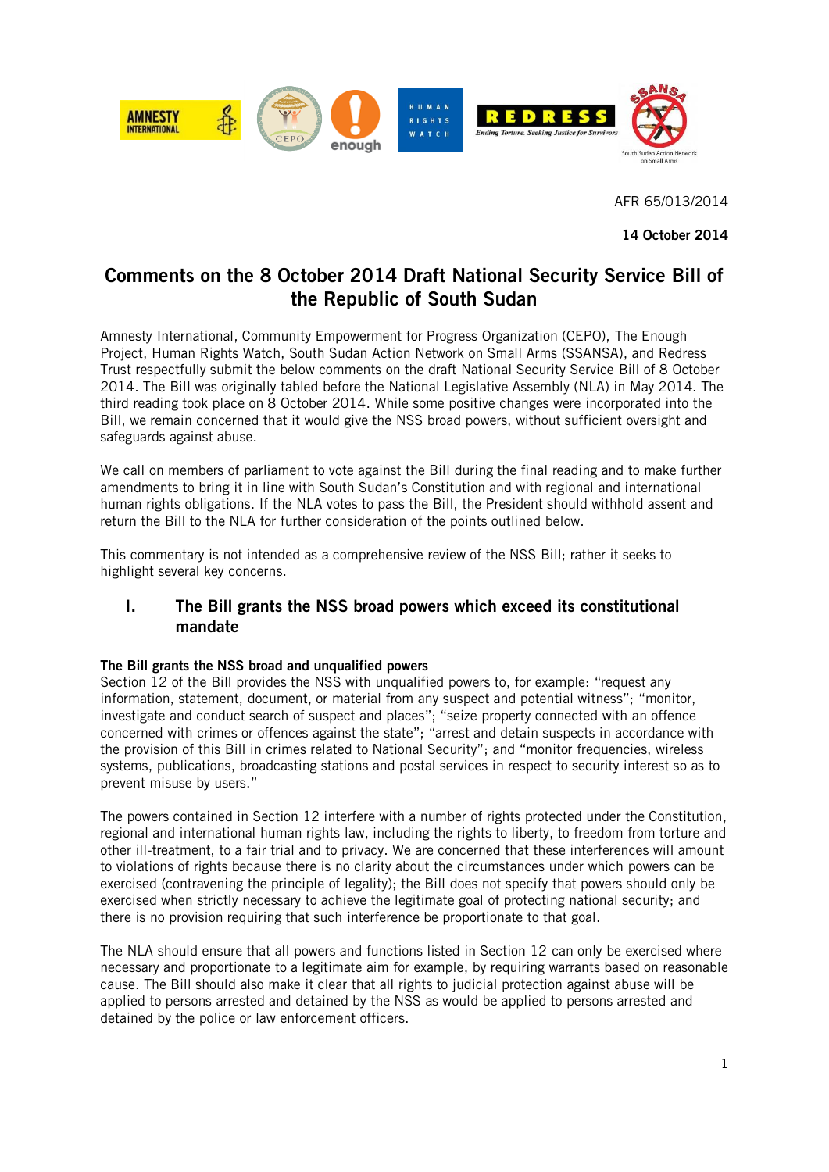

AFR 65/013/2014

**14 October 2014**

# **Comments on the 8 October 2014 Draft National Security Service Bill of the Republic of South Sudan**

Amnesty International, Community Empowerment for Progress Organization (CEPO), The Enough Project, Human Rights Watch, South Sudan Action Network on Small Arms (SSANSA), and Redress Trust respectfully submit the below comments on the draft National Security Service Bill of 8 October 2014. The Bill was originally tabled before the National Legislative Assembly (NLA) in May 2014. The third reading took place on 8 October 2014. While some positive changes were incorporated into the Bill, we remain concerned that it would give the NSS broad powers, without sufficient oversight and safeguards against abuse.

We call on members of parliament to vote against the Bill during the final reading and to make further amendments to bring it in line with South Sudan's Constitution and with regional and international human rights obligations. If the NLA votes to pass the Bill, the President should withhold assent and return the Bill to the NLA for further consideration of the points outlined below.

This commentary is not intended as a comprehensive review of the NSS Bill; rather it seeks to highlight several key concerns.

# **I. The Bill grants the NSS broad powers which exceed its constitutional mandate**

# **The Bill grants the NSS broad and unqualified powers**

Section 12 of the Bill provides the NSS with unqualified powers to, for example: "request any information, statement, document, or material from any suspect and potential witness"; "monitor, investigate and conduct search of suspect and places"; "seize property connected with an offence concerned with crimes or offences against the state"; "arrest and detain suspects in accordance with the provision of this Bill in crimes related to National Security"; and "monitor frequencies, wireless systems, publications, broadcasting stations and postal services in respect to security interest so as to prevent misuse by users."

The powers contained in Section 12 interfere with a number of rights protected under the Constitution, regional and international human rights law, including the rights to liberty, to freedom from torture and other ill-treatment, to a fair trial and to privacy. We are concerned that these interferences will amount to violations of rights because there is no clarity about the circumstances under which powers can be exercised (contravening the principle of legality); the Bill does not specify that powers should only be exercised when strictly necessary to achieve the legitimate goal of protecting national security; and there is no provision requiring that such interference be proportionate to that goal.

The NLA should ensure that all powers and functions listed in Section 12 can only be exercised where necessary and proportionate to a legitimate aim for example, by requiring warrants based on reasonable cause. The Bill should also make it clear that all rights to judicial protection against abuse will be applied to persons arrested and detained by the NSS as would be applied to persons arrested and detained by the police or law enforcement officers.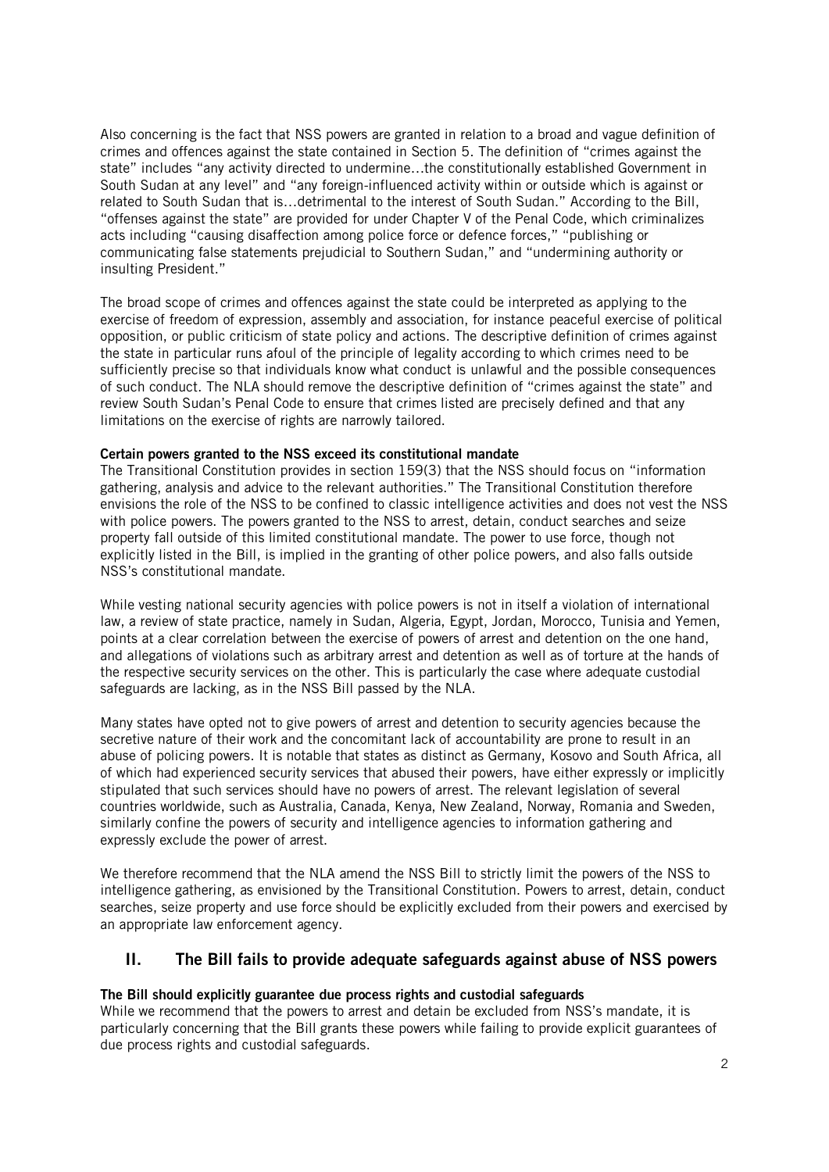Also concerning is the fact that NSS powers are granted in relation to a broad and vague definition of crimes and offences against the state contained in Section 5. The definition of "crimes against the state" includes "any activity directed to undermine…the constitutionally established Government in South Sudan at any level" and "any foreign-influenced activity within or outside which is against or related to South Sudan that is…detrimental to the interest of South Sudan." According to the Bill, "offenses against the state" are provided for under Chapter V of the Penal Code, which criminalizes acts including "causing disaffection among police force or defence forces," "publishing or communicating false statements prejudicial to Southern Sudan," and "undermining authority or insulting President."

The broad scope of crimes and offences against the state could be interpreted as applying to the exercise of freedom of expression, assembly and association, for instance peaceful exercise of political opposition, or public criticism of state policy and actions. The descriptive definition of crimes against the state in particular runs afoul of the principle of legality according to which crimes need to be sufficiently precise so that individuals know what conduct is unlawful and the possible consequences of such conduct. The NLA should remove the descriptive definition of "crimes against the state" and review South Sudan's Penal Code to ensure that crimes listed are precisely defined and that any limitations on the exercise of rights are narrowly tailored.

#### **Certain powers granted to the NSS exceed its constitutional mandate**

The Transitional Constitution provides in section 159(3) that the NSS should focus on "information gathering, analysis and advice to the relevant authorities." The Transitional Constitution therefore envisions the role of the NSS to be confined to classic intelligence activities and does not vest the NSS with police powers. The powers granted to the NSS to arrest, detain, conduct searches and seize property fall outside of this limited constitutional mandate. The power to use force, though not explicitly listed in the Bill, is implied in the granting of other police powers, and also falls outside NSS's constitutional mandate.

While vesting national security agencies with police powers is not in itself a violation of international law, a review of state practice, namely in Sudan, Algeria, Egypt, Jordan, Morocco, Tunisia and Yemen, points at a clear correlation between the exercise of powers of arrest and detention on the one hand, and allegations of violations such as arbitrary arrest and detention as well as of torture at the hands of the respective security services on the other. This is particularly the case where adequate custodial safeguards are lacking, as in the NSS Bill passed by the NLA.

Many states have opted not to give powers of arrest and detention to security agencies because the secretive nature of their work and the concomitant lack of accountability are prone to result in an abuse of policing powers. It is notable that states as distinct as Germany, Kosovo and South Africa, all of which had experienced security services that abused their powers, have either expressly or implicitly stipulated that such services should have no powers of arrest. The relevant legislation of several countries worldwide, such as Australia, Canada, Kenya, New Zealand, Norway, Romania and Sweden, similarly confine the powers of security and intelligence agencies to information gathering and expressly exclude the power of arrest.

We therefore recommend that the NLA amend the NSS Bill to strictly limit the powers of the NSS to intelligence gathering, as envisioned by the Transitional Constitution. Powers to arrest, detain, conduct searches, seize property and use force should be explicitly excluded from their powers and exercised by an appropriate law enforcement agency.

# **II. The Bill fails to provide adequate safeguards against abuse of NSS powers**

# **The Bill should explicitly guarantee due process rights and custodial safeguards**

While we recommend that the powers to arrest and detain be excluded from NSS's mandate, it is particularly concerning that the Bill grants these powers while failing to provide explicit guarantees of due process rights and custodial safeguards.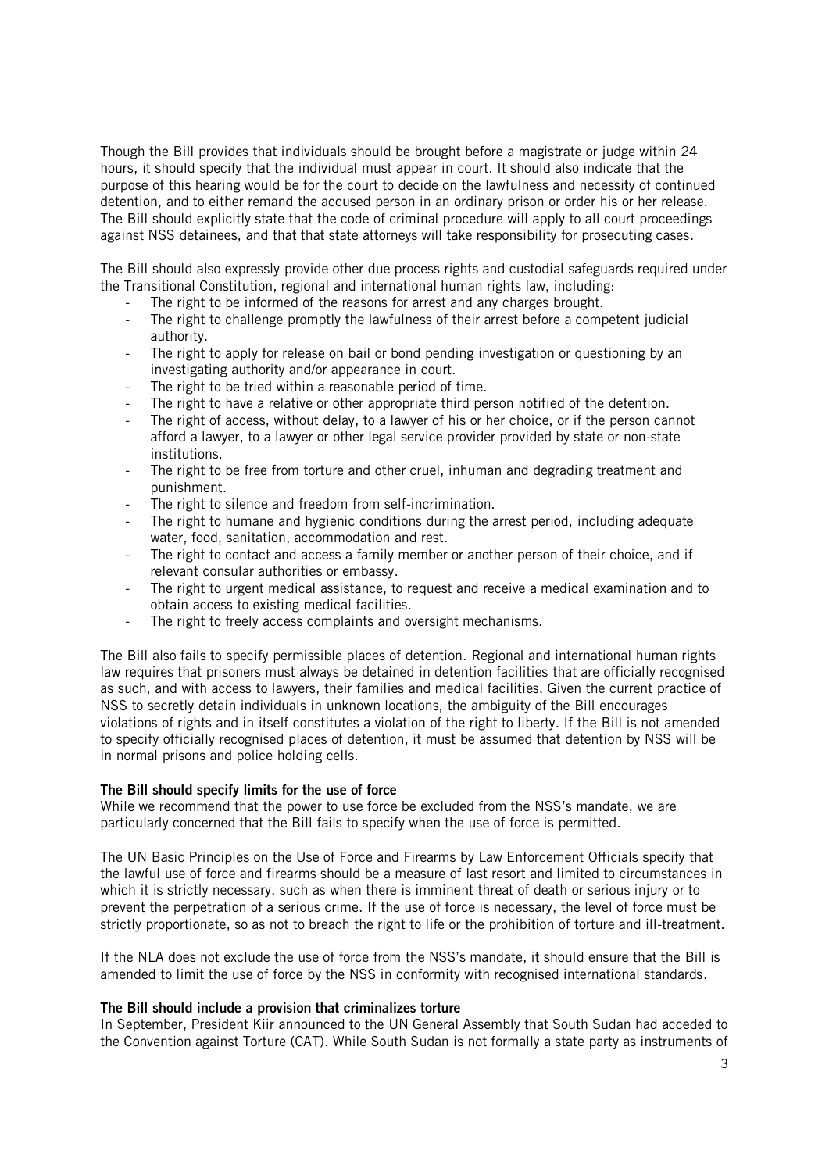Though the Bill provides that individuals should be brought before a magistrate or judge within 24 hours, it should specify that the individual must appear in court. It should also indicate that the purpose of this hearing would be for the court to decide on the lawfulness and necessity of continued detention, and to either remand the accused person in an ordinary prison or order his or her release. The Bill should explicitly state that the code of criminal procedure will apply to all court proceedings against NSS detainees, and that that state attorneys will take responsibility for prosecuting cases.

The Bill should also expressly provide other due process rights and custodial safeguards required under the Transitional Constitution, regional and international human rights law, including:

- The right to be informed of the reasons for arrest and any charges brought.
- The right to challenge promptly the lawfulness of their arrest before a competent judicial authority.
- The right to apply for release on bail or bond pending investigation or questioning by an investigating authority and/or appearance in court.
- The right to be tried within a reasonable period of time.
- The right to have a relative or other appropriate third person notified of the detention.
- The right of access, without delay, to a lawyer of his or her choice, or if the person cannot afford a lawyer, to a lawyer or other legal service provider provided by state or non-state institutions.
- The right to be free from torture and other cruel, inhuman and degrading treatment and punishment.
- The right to silence and freedom from self-incrimination.
- The right to humane and hygienic conditions during the arrest period, including adequate water, food, sanitation, accommodation and rest.
- The right to contact and access a family member or another person of their choice, and if relevant consular authorities or embassy.
- The right to urgent medical assistance, to request and receive a medical examination and to obtain access to existing medical facilities.
- The right to freely access complaints and oversight mechanisms.

The Bill also fails to specify permissible places of detention. Regional and international human rights law requires that prisoners must always be detained in detention facilities that are officially recognised as such, and with access to lawyers, their families and medical facilities. Given the current practice of NSS to secretly detain individuals in unknown locations, the ambiguity of the Bill encourages violations of rights and in itself constitutes a violation of the right to liberty. If the Bill is not amended to specify officially recognised places of detention, it must be assumed that detention by NSS will be in normal prisons and police holding cells.

#### **The Bill should specify limits for the use of force**

While we recommend that the power to use force be excluded from the NSS's mandate, we are particularly concerned that the Bill fails to specify when the use of force is permitted.

The UN Basic Principles on the Use of Force and Firearms by Law Enforcement Officials specify that the lawful use of force and firearms should be a measure of last resort and limited to circumstances in which it is strictly necessary, such as when there is imminent threat of death or serious injury or to prevent the perpetration of a serious crime. If the use of force is necessary, the level of force must be strictly proportionate, so as not to breach the right to life or the prohibition of torture and ill-treatment.

If the NLA does not exclude the use of force from the NSS's mandate, it should ensure that the Bill is amended to limit the use of force by the NSS in conformity with recognised international standards.

#### **The Bill should include a provision that criminalizes torture**

In September, President Kiir announced to the UN General Assembly that South Sudan had acceded to the Convention against Torture (CAT). While South Sudan is not formally a state party as instruments of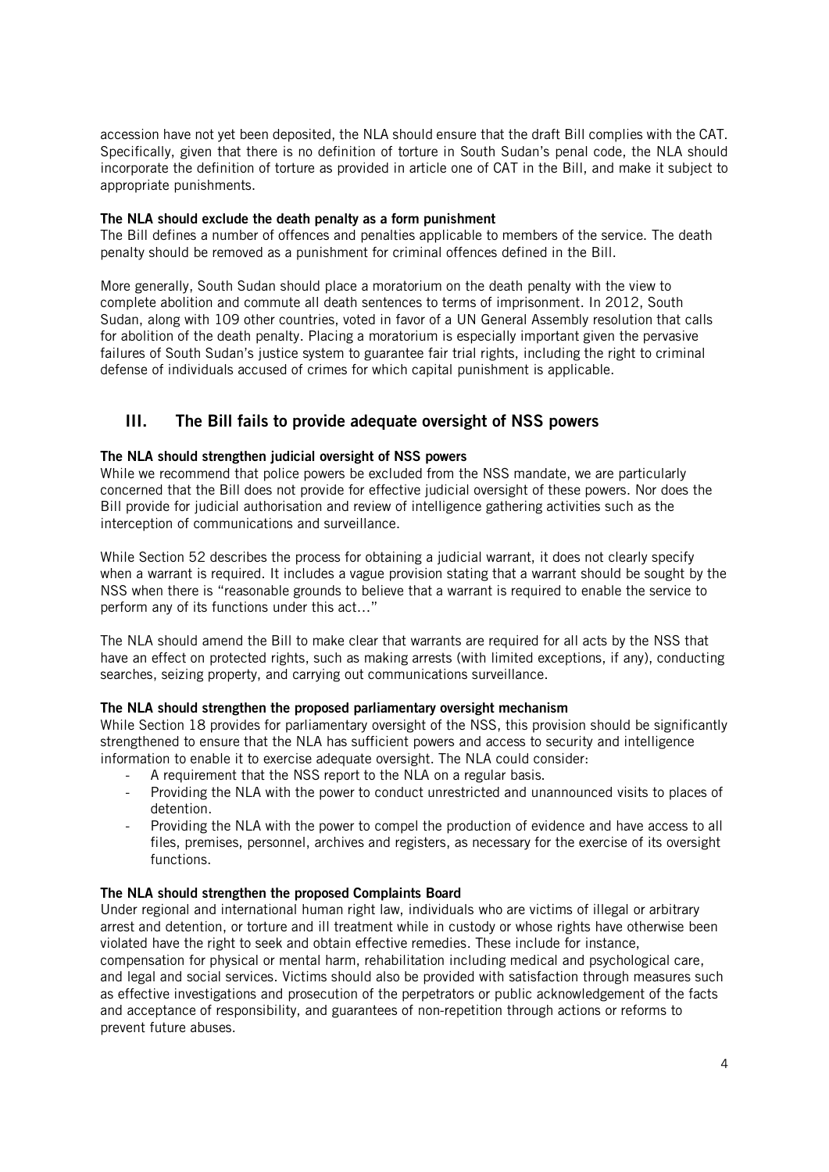accession have not yet been deposited, the NLA should ensure that the draft Bill complies with the CAT. Specifically, given that there is no definition of torture in South Sudan's penal code, the NLA should incorporate the definition of torture as provided in article one of CAT in the Bill, and make it subject to appropriate punishments.

# **The NLA should exclude the death penalty as a form punishment**

The Bill defines a number of offences and penalties applicable to members of the service. The death penalty should be removed as a punishment for criminal offences defined in the Bill.

More generally, South Sudan should place a moratorium on the death penalty with the view to complete abolition and commute all death sentences to terms of imprisonment. In 2012, South Sudan, along with 109 other countries, voted in favor of a UN General Assembly resolution that calls for abolition of the death penalty. Placing a moratorium is especially important given the pervasive failures of South Sudan's justice system to guarantee fair trial rights, including the right to criminal defense of individuals accused of crimes for which capital punishment is applicable.

# **III. The Bill fails to provide adequate oversight of NSS powers**

# **The NLA should strengthen judicial oversight of NSS powers**

While we recommend that police powers be excluded from the NSS mandate, we are particularly concerned that the Bill does not provide for effective judicial oversight of these powers. Nor does the Bill provide for judicial authorisation and review of intelligence gathering activities such as the interception of communications and surveillance.

While Section 52 describes the process for obtaining a judicial warrant, it does not clearly specify when a warrant is required. It includes a vague provision stating that a warrant should be sought by the NSS when there is "reasonable grounds to believe that a warrant is required to enable the service to perform any of its functions under this act…"

The NLA should amend the Bill to make clear that warrants are required for all acts by the NSS that have an effect on protected rights, such as making arrests (with limited exceptions, if any), conducting searches, seizing property, and carrying out communications surveillance.

# **The NLA should strengthen the proposed parliamentary oversight mechanism**

While Section 18 provides for parliamentary oversight of the NSS, this provision should be significantly strengthened to ensure that the NLA has sufficient powers and access to security and intelligence information to enable it to exercise adequate oversight. The NLA could consider:

- A requirement that the NSS report to the NLA on a regular basis.
- Providing the NLA with the power to conduct unrestricted and unannounced visits to places of detention.
- Providing the NLA with the power to compel the production of evidence and have access to all files, premises, personnel, archives and registers, as necessary for the exercise of its oversight functions.

# **The NLA should strengthen the proposed Complaints Board**

Under regional and international human right law, individuals who are victims of illegal or arbitrary arrest and detention, or torture and ill treatment while in custody or whose rights have otherwise been violated have the right to seek and obtain effective remedies. These include for instance, compensation for physical or mental harm, rehabilitation including medical and psychological care, and legal and social services. Victims should also be provided with satisfaction through measures such

as effective investigations and prosecution of the perpetrators or public acknowledgement of the facts and acceptance of responsibility, and guarantees of non-repetition through actions or reforms to prevent future abuses.